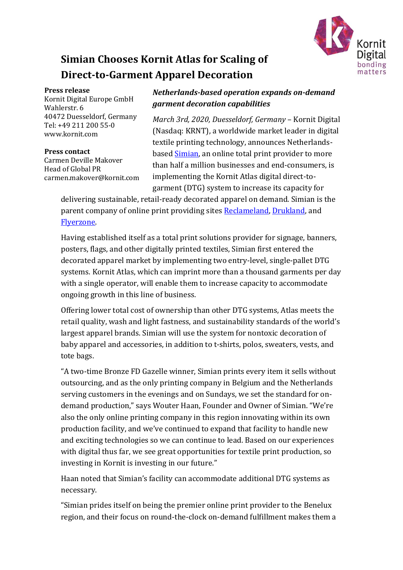

# **Simian Chooses Kornit Atlas for Scaling of Direct-to-Garment Apparel Decoration**

#### **Press release**

Kornit Digital Europe GmbH Wahlerstr. 6 40472 Duesseldorf, Germany Tel: +49 211 200 55-0 www.kornit.com

### **Press contact**

Carmen Deville Makover Head of Global PR carmen.makover@kornit.com

## *Netherlands-based operation expands on-demand garment decoration capabilities*

*March 3rd, 2020, Duesseldorf, Germany* – Kornit Digital (Nasdaq: KRNT), a worldwide market leader in digital textile printing technology, announces Netherlandsbased [Simian,](https://www.simian.nl/) an online total print provider to more than half a million businesses and end-consumers, is implementing the Kornit Atlas digital direct-togarment (DTG) system to increase its capacity for

delivering sustainable, retail-ready decorated apparel on demand. Simian is the parent company of online print providing sites [Reclameland,](http://www.reclameland.nl/) [Drukland,](https://www.drukland.nl/) and [Flyerzone.](https://www.flyerzone.nl/)

Having established itself as a total print solutions provider for signage, banners, posters, flags, and other digitally printed textiles, Simian first entered the decorated apparel market by implementing two entry-level, single-pallet DTG systems. Kornit Atlas, which can imprint more than a thousand garments per day with a single operator, will enable them to increase capacity to accommodate ongoing growth in this line of business.

Offering lower total cost of ownership than other DTG systems, Atlas meets the retail quality, wash and light fastness, and sustainability standards of the world's largest apparel brands. Simian will use the system for nontoxic decoration of baby apparel and accessories, in addition to t-shirts, polos, sweaters, vests, and tote bags.

"A two-time Bronze FD Gazelle winner, Simian prints every item it sells without outsourcing, and as the only printing company in Belgium and the Netherlands serving customers in the evenings and on Sundays, we set the standard for ondemand production," says Wouter Haan, Founder and Owner of Simian. "We're also the only online printing company in this region innovating within its own production facility, and we've continued to expand that facility to handle new and exciting technologies so we can continue to lead. Based on our experiences with digital thus far, we see great opportunities for textile print production, so investing in Kornit is investing in our future."

Haan noted that Simian's facility can accommodate additional DTG systems as necessary.

"Simian prides itself on being the premier online print provider to the Benelux region, and their focus on round-the-clock on-demand fulfillment makes them a